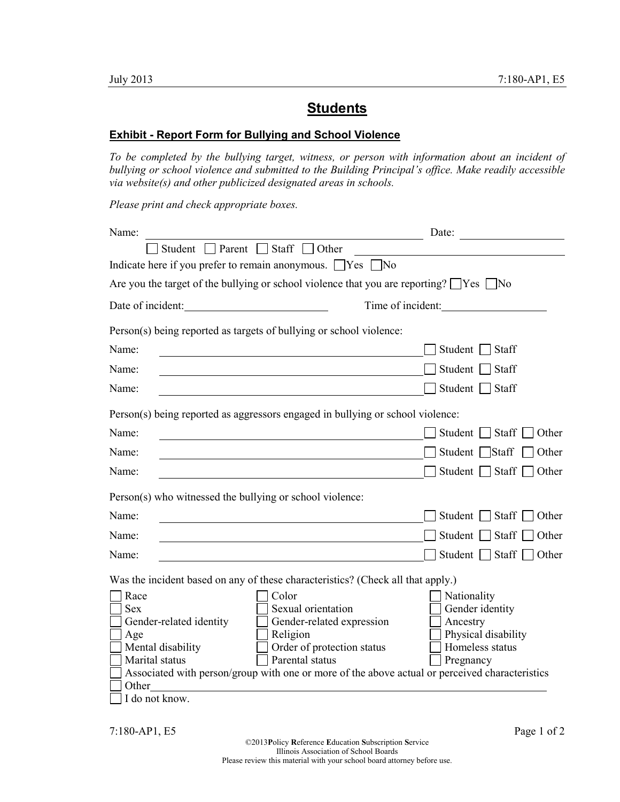## **Students**

## **Exhibit - Report Form for Bullying and School Violence**

*To be completed by the bullying target, witness, or person with information about an incident of bullying or school violence and submitted to the Building Principal's office. Make readily accessible via website(s) and other publicized designated areas in schools.* 

*Please print and check appropriate boxes.* 

| Name:                                                                                                                                                                                                                                                                                                                           | Date:                                                                                             |
|---------------------------------------------------------------------------------------------------------------------------------------------------------------------------------------------------------------------------------------------------------------------------------------------------------------------------------|---------------------------------------------------------------------------------------------------|
| Student $\Box$ Parent $\Box$ Staff $\Box$<br>$\overline{\phantom{a}}$ Other                                                                                                                                                                                                                                                     |                                                                                                   |
| Indicate here if you prefer to remain anonymous. $\Box$ Yes $\Box$ No                                                                                                                                                                                                                                                           |                                                                                                   |
| Are you the target of the bullying or school violence that you are reporting? $\Box$ Yes $\Box$ No                                                                                                                                                                                                                              |                                                                                                   |
| Date of incident:                                                                                                                                                                                                                                                                                                               | Time of incident:                                                                                 |
| Person(s) being reported as targets of bullying or school violence:                                                                                                                                                                                                                                                             |                                                                                                   |
| Name:                                                                                                                                                                                                                                                                                                                           | Student $\Box$ Staff                                                                              |
| Name:                                                                                                                                                                                                                                                                                                                           | Student  <br>Staff                                                                                |
| Name:                                                                                                                                                                                                                                                                                                                           | Student  <br>$\Box$ Staff                                                                         |
| Person(s) being reported as aggressors engaged in bullying or school violence:                                                                                                                                                                                                                                                  |                                                                                                   |
| Name:                                                                                                                                                                                                                                                                                                                           | Student $\Box$ Staff<br>Other                                                                     |
| Name:                                                                                                                                                                                                                                                                                                                           | Student Staff<br>Other                                                                            |
| Name:                                                                                                                                                                                                                                                                                                                           | Student $\Box$ Staff<br>Other                                                                     |
| Person(s) who witnessed the bullying or school violence:                                                                                                                                                                                                                                                                        |                                                                                                   |
| Name:                                                                                                                                                                                                                                                                                                                           | Student Staff<br>Other                                                                            |
| Name:                                                                                                                                                                                                                                                                                                                           | Student $\Box$ Staff<br>Other                                                                     |
| Name:                                                                                                                                                                                                                                                                                                                           | Student Staff<br>Other                                                                            |
| Was the incident based on any of these characteristics? (Check all that apply.)                                                                                                                                                                                                                                                 |                                                                                                   |
| Color<br>Race<br>Sexual orientation<br><b>Sex</b><br>Gender-related identity<br>Gender-related expression<br>Religion<br>Age<br>Order of protection status<br>Mental disability<br>Marital status<br>Parental status<br>Associated with person/group with one or more of the above actual or perceived characteristics<br>Other | Nationality<br>Gender identity<br>Ancestry<br>Physical disability<br>Homeless status<br>Pregnancy |
| I do not know.                                                                                                                                                                                                                                                                                                                  |                                                                                                   |